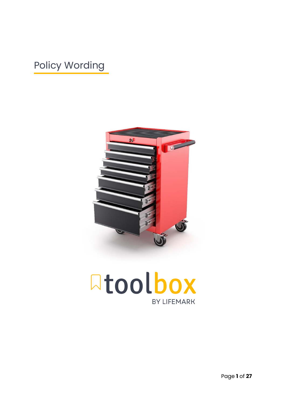# Policy Wording



**Atoolbox BY LIFEMARK** 

Page **1** of **27**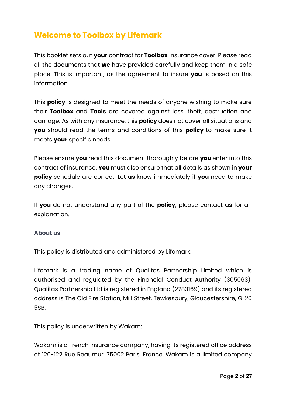## **Welcome to Toolbox by Lifemark**

This booklet sets out **your** contract for **Toolbox** insurance cover. Please read all the documents that **we** have provided carefully and keep them in a safe place. This is important, as the agreement to insure **you** is based on this information.

This **policy** is designed to meet the needs of anyone wishing to make sure their **Toolbox** and **Tools** are covered against loss, theft, destruction and damage. As with any insurance, this **policy** does not cover all situations and **you** should read the terms and conditions of this **policy** to make sure it meets **your** specific needs.

Please ensure **you** read this document thoroughly before **you** enter into this contract of insurance. **You** must also ensure that all details as shown in **your policy** schedule are correct. Let **us** know immediately if **you** need to make any changes.

If **you** do not understand any part of the **policy**, please contact **us** for an explanation.

### **About us**

This policy is distributed and administered by Lifemark:

Lifemark is a trading name of Qualitas Partnership Limited which is authorised and regulated by the Financial Conduct Authority (305063). Qualitas Partnership Ltd is registered in England (2783169) and its registered address is The Old Fire Station, Mill Street, Tewkesbury, Gloucestershire, GL20 5SB.

This policy is underwritten by Wakam:

Wakam is a French insurance company, having its registered office address at 120-122 Rue Reaumur, 75002 Paris, France. Wakam is a limited company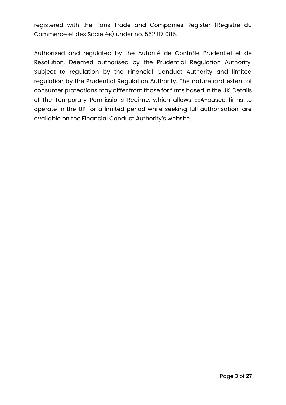registered with the Paris Trade and Companies Register (Registre du Commerce et des Sociétés) under no. 562 117 085.

Authorised and regulated by the Autorité de Contrôle Prudentiel et de Résolution. Deemed authorised by the Prudential Regulation Authority. Subject to regulation by the Financial Conduct Authority and limited regulation by the Prudential Regulation Authority. The nature and extent of consumer protections may differ from those for firms based in the UK. Details of the Temporary Permissions Regime, which allows EEA-based firms to operate in the UK for a limited period while seeking full authorisation, are available on the Financial Conduct Authority's website.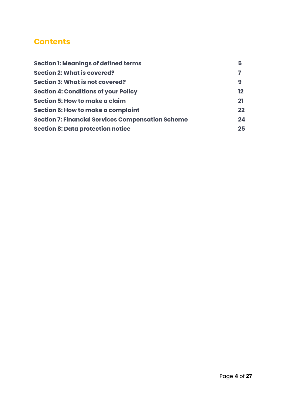## **Contents**

| <b>Section 1: Meanings of defined terms</b>              | 5       |
|----------------------------------------------------------|---------|
| <b>Section 2: What is covered?</b>                       |         |
| <b>Section 3: What is not covered?</b>                   | 9       |
| <b>Section 4: Conditions of your Policy</b>              | $12 \,$ |
| Section 5: How to make a claim                           | 21      |
| <b>Section 6: How to make a complaint</b>                | 22      |
| <b>Section 7: Financial Services Compensation Scheme</b> | 24      |
| <b>Section 8: Data protection notice</b>                 | 25      |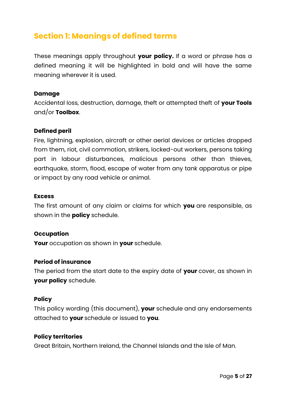## **Section 1: Meanings of defined terms**

These meanings apply throughout **your policy.** If a word or phrase has a defined meaning it will be highlighted in bold and will have the same meaning wherever it is used.

#### **Damage**

Accidental loss, destruction, damage, theft or attempted theft of **your Tools**  and/or **Toolbox**.

#### **Defined peril**

Fire, lightning, explosion, aircraft or other aerial devices or articles dropped from them, riot, civil commotion, strikers, locked-out workers, persons taking part in labour disturbances, malicious persons other than thieves, earthquake, storm, flood, escape of water from any tank apparatus or pipe or impact by any road vehicle or animal.

#### **Excess**

The first amount of any claim or claims for which **you** are responsible, as shown in the **policy** schedule.

#### **Occupation**

**Your** occupation as shown in **your** schedule.

#### **Period of insurance**

The period from the start date to the expiry date of **your** cover, as shown in **your policy** schedule.

#### **Policy**

This policy wording (this document), **your** schedule and any endorsements attached to **your** schedule or issued to **you**.

#### **Policy territories**

Great Britain, Northern Ireland, the Channel Islands and the Isle of Man.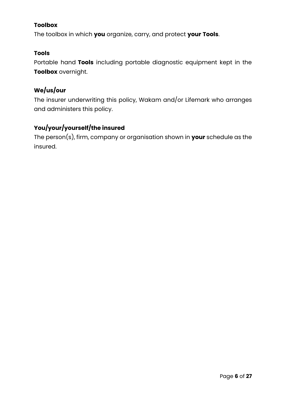## **Toolbox**

The toolbox in which **you** organize, carry, and protect **your Tools**.

### **Tools**

Portable hand **Tools** including portable diagnostic equipment kept in the **Toolbox** overnight.

## **We/us/our**

The insurer underwriting this policy, Wakam and/or Lifemark who arranges and administers this policy.

## **You/your/yourself/the insured**

The person(s), firm, company or organisation shown in **your** schedule as the insured.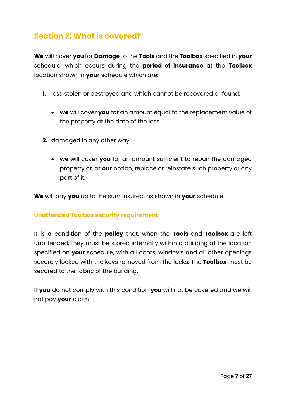## **Section 2: What is covered?**

**We** will cover **you** for **Damage** to the **Tools** and the **Toolbox** specified in **your** schedule, which occurs during the **period of insurance** at the **Toolbox** location shown in **your** schedule which are:

- **1.** lost, stolen or destroyed and which cannot be recovered or found:
	- **we** will cover **you** for an amount equal to the replacement value of the property at the date of the loss.
- **2.** damaged in any other way:
	- **we** will cover **you** for an amount sufficient to repair the damaged property or, at **our** option, replace or reinstate such property or any part of it.

**We** will pay **you** up to the sum insured, as shown in **your** schedule.

### **Unattended Toolbox security requirement**

It is a condition of the **policy** that, when the **Tools** and **Toolbox** are left unattended, they must be stored internally within a building at the location specified on **your** schedule, with all doors, windows and all other openings securely locked with the keys removed from the locks. The **Toolbox** must be secured to the fabric of the building.

If **you** do not comply with this condition **you** will not be covered and we will not pay **your** claim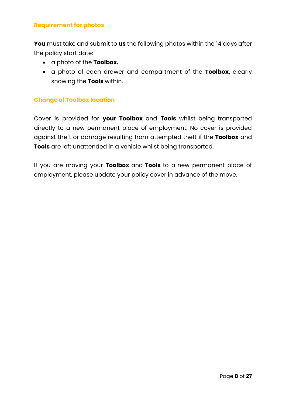#### **Requirement for photos**

**You** must take and submit to **us** the following photos within the 14 days after the policy start date:

- a photo of the **Toolbox.**
- a photo of each drawer and compartment of the **Toolbox,** clearly showing the **Tools** within.

#### **Change of Toolbox location**

Cover is provided for **your Toolbox** and **Tools** whilst being transported directly to a new permanent place of employment. No cover is provided against theft or damage resulting from attempted theft if the **Toolbox** and **Tools** are left unattended in a vehicle whilst being transported.

If you are moving your **Toolbox** and **Tools** to a new permanent place of employment, please update your policy cover in advance of the move.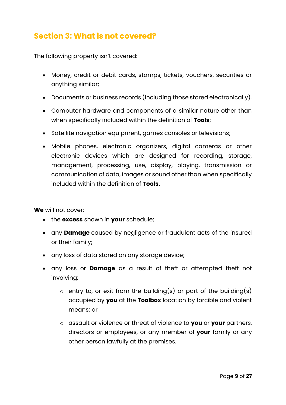## **Section 3: What is not covered?**

The following property isn't covered:

- Money, credit or debit cards, stamps, tickets, vouchers, securities or anything similar;
- Documents or business records (including those stored electronically).
- Computer hardware and components of a similar nature other than when specifically included within the definition of **Tools**;
- Satellite navigation equipment, games consoles or televisions;
- Mobile phones, electronic organizers, digital cameras or other electronic devices which are designed for recording, storage, management, processing, use, display, playing, transmission or communication of data, images or sound other than when specifically included within the definition of **Tools.**

**We** will not cover:

- the **excess** shown in **your** schedule;
- any **Damage** caused by negligence or fraudulent acts of the insured or their family;
- any loss of data stored on any storage device;
- any loss or **Damage** as a result of theft or attempted theft not involving:
	- $\circ$  entry to, or exit from the building(s) or part of the building(s) occupied by **you** at the **Toolbox** location by forcible and violent means; or
	- o assault or violence or threat of violence to **you** or **your** partners, directors or employees, or any member of **your** family or any other person lawfully at the premises.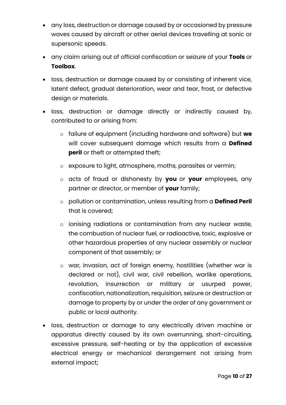- any loss, destruction or damage caused by or occasioned by pressure waves caused by aircraft or other aerial devices travelling at sonic or supersonic speeds.
- any claim arising out of official confiscation or seizure of your **Tools** or **Toolbox**.
- loss, destruction or damage caused by or consisting of inherent vice, latent defect, gradual deterioration, wear and tear, frost, or defective design or materials.
- loss, destruction or damage directly or indirectly caused by, contributed to or arising from:
	- o failure of equipment (including hardware and software) but **we** will cover subsequent damage which results from a **Defined peril** or theft or attempted theft;
	- o exposure to light, atmosphere, moths, parasites or vermin;
	- o acts of fraud or dishonesty by **you** or **your** employees, any partner or director, or member of **your** family;
	- o pollution or contamination, unless resulting from a **Defined Peril** that is covered;
	- o ionising radiations or contamination from any nuclear waste, the combustion of nuclear fuel, or radioactive, toxic, explosive or other hazardous properties of any nuclear assembly or nuclear component of that assembly; or
	- o war, invasion, act of foreign enemy, hostilities (whether war is declared or not), civil war, civil rebellion, warlike operations, revolution, insurrection or military or usurped power, confiscation, nationalization, requisition, seizure or destruction or damage to property by or under the order of any government or public or local authority.
- loss, destruction or damage to any electrically driven machine or apparatus directly caused by its own overrunning, short-circuiting, excessive pressure, self-heating or by the application of excessive electrical energy or mechanical derangement not arising from external impact;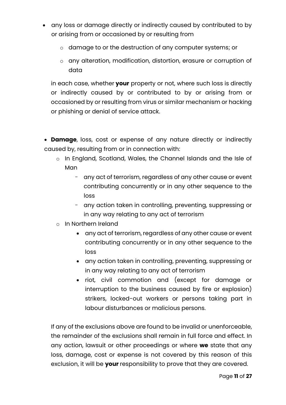- any loss or damage directly or indirectly caused by contributed to by or arising from or occasioned by or resulting from
	- o damage to or the destruction of any computer systems; or
	- o any alteration, modification, distortion, erasure or corruption of data

in each case, whether **your** property or not, where such loss is directly or indirectly caused by or contributed to by or arising from or occasioned by or resulting from virus or similar mechanism or hacking or phishing or denial of service attack.

• **Damage**, loss, cost or expense of any nature directly or indirectly caused by, resulting from or in connection with:

- o In England, Scotland, Wales, the Channel Islands and the Isle of Man
	- any act of terrorism, regardless of any other cause or event contributing concurrently or in any other sequence to the loss
	- any action taken in controlling, preventing, suppressing or in any way relating to any act of terrorism
- o In Northern Ireland
	- any act of terrorism, regardless of any other cause or event contributing concurrently or in any other sequence to the loss
	- any action taken in controlling, preventing, suppressing or in any way relating to any act of terrorism
	- riot, civil commotion and (except for damage or interruption to the business caused by fire or explosion) strikers, locked-out workers or persons taking part in labour disturbances or malicious persons.

If any of the exclusions above are found to be invalid or unenforceable, the remainder of the exclusions shall remain in full force and effect. In any action, lawsuit or other proceedings or where **we** state that any loss, damage, cost or expense is not covered by this reason of this exclusion, it will be **your** responsibility to prove that they are covered.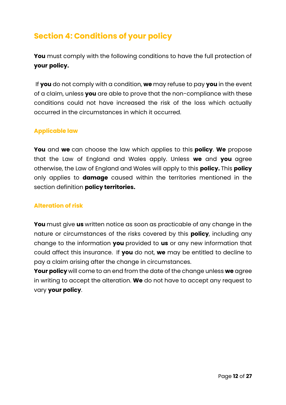## **Section 4: Conditions of your policy**

**You** must comply with the following conditions to have the full protection of **your policy.**

If **you** do not comply with a condition, **we** may refuse to pay **you** in the event of a claim, unless **you** are able to prove that the non-compliance with these conditions could not have increased the risk of the loss which actually occurred in the circumstances in which it occurred.

#### **Applicable law**

**You** and **we** can choose the law which applies to this **policy**. **We** propose that the Law of England and Wales apply. Unless **we** and **you** agree otherwise, the Law of England and Wales will apply to this **policy.** This **policy** only applies to **damage** caused within the territories mentioned in the section definition **policy territories.**

#### **Alteration of risk**

**You** must give **us** written notice as soon as practicable of any change in the nature or circumstances of the risks covered by this **policy**, including any change to the information **you** provided to **us** or any new information that could affect this insurance. If **you** do not, **we** may be entitled to decline to pay a claim arising after the change in circumstances.

**Your policy** will come to an end from the date of the change unless **we** agree in writing to accept the alteration. **We** do not have to accept any request to vary **your policy**.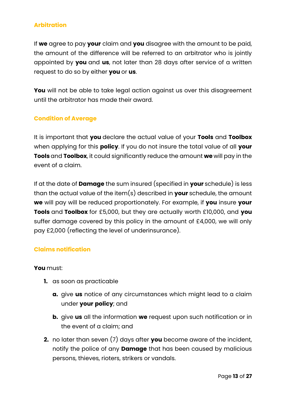### **Arbitration**

If **we** agree to pay **your** claim and **you** disagree with the amount to be paid, the amount of the difference will be referred to an arbitrator who is jointly appointed by **you** and **us**, not later than 28 days after service of a written request to do so by either **you** or **us**.

You will not be able to take legal action against us over this disagreement until the arbitrator has made their award.

#### **Condition of Average**

It is important that **you** declare the actual value of your **Tools** and **Toolbox** when applying for this **policy**. If you do not insure the total value of all **your Tools** and **Toolbox**, it could significantly reduce the amount **we** will pay in the event of a claim.

If at the date of **Damage** the sum insured (specified in **your** schedule) is less than the actual value of the item(s) described in **your** schedule, the amount **we** will pay will be reduced proportionately. For example, if **you** insure **your Tools** and **Toolbox** for £5,000, but they are actually worth £10,000, and **you** suffer damage covered by this policy in the amount of £4,000, we will only pay £2,000 (reflecting the level of underinsurance).

#### **Claims notification**

#### **You** must:

- **1.** as soon as practicable
	- **a.** give **us** notice of any circumstances which might lead to a claim under **your policy**; and
	- **b.** give **us** all the information **we** request upon such notification or in the event of a claim; and
- **2.** no later than seven (7) days after **you** become aware of the incident, notify the police of any **Damage** that has been caused by malicious persons, thieves, rioters, strikers or vandals.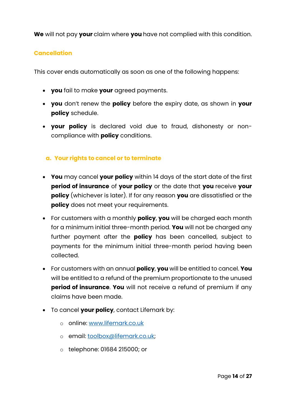**We** will not pay **your** claim where **you** have not complied with this condition.

#### **Cancellation**

This cover ends automatically as soon as one of the following happens:

- **you** fail to make **your** agreed payments.
- **you** don't renew the **policy** before the expiry date, as shown in **your policy** schedule.
- **your policy** is declared void due to fraud, dishonesty or noncompliance with **policy** conditions.

#### **a. Your rights to cancel or to terminate**

- **You** may cancel **your policy** within 14 days of the start date of the first **period of insurance** of **your policy** or the date that **you** receive **your policy** (whichever is later). If for any reason **you** are dissatisfied or the **policy** does not meet your requirements.
- For customers with a monthly **policy**, **you** will be charged each month for a minimum initial three-month period. **You** will not be charged any further payment after the **policy** has been cancelled, subject to payments for the minimum initial three-month period having been collected.
- For customers with an annual **policy**, **you** will be entitled to cancel. **You** will be entitled to a refund of the premium proportionate to the unused **period of insurance. You** will not receive a refund of premium if any claims have been made.
- To cancel **your policy**, contact Lifemark by:
	- o online: [www.lifemark.co.uk](http://www.lifemark.co.uk/)
	- o email: [toolbox@lifemark.co.uk;](mailto:toolbox@lifemark.co.uk)
	- o telephone: 01684 215000; or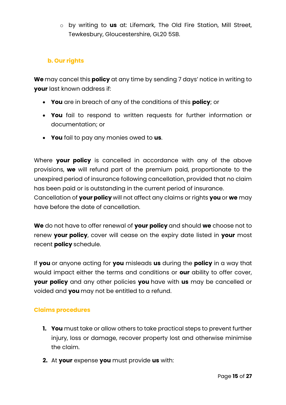o by writing to **us** at: Lifemark, The Old Fire Station, Mill Street, Tewkesbury, Gloucestershire, GL20 5SB.

## **b. Our rights**

**We** may cancel this **policy** at any time by sending 7 days' notice in writing to **your** last known address if:

- **You** are in breach of any of the conditions of this **policy**; or
- **You** fail to respond to written requests for further information or documentation; or
- **You** fail to pay any monies owed to **us**.

Where **your policy** is cancelled in accordance with any of the above provisions, **we** will refund part of the premium paid, proportionate to the unexpired period of insurance following cancellation, provided that no claim has been paid or is outstanding in the current period of insurance.

Cancellation of **your policy** will not affect any claims or rights **you** or **we** may have before the date of cancellation.

**We** do not have to offer renewal of **your policy** and should **we** choose not to renew **your policy**, cover will cease on the expiry date listed in **your** most recent **policy** schedule.

If **you** or anyone acting for **you** misleads **us** during the **policy** in a way that would impact either the terms and conditions or **our** ability to offer cover, **your policy** and any other policies **you** have with **us** may be cancelled or voided and **you** may not be entitled to a refund.

### **Claims procedures**

- **1. You** must take or allow others to take practical steps to prevent further injury, loss or damage, recover property lost and otherwise minimise the claim.
- **2.** At **your** expense **you** must provide **us** with: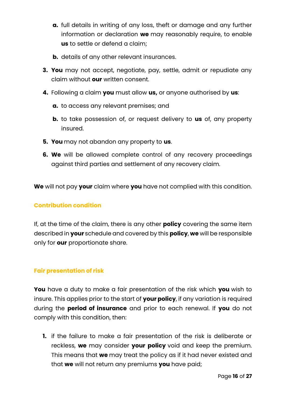- **a.** full details in writing of any loss, theft or damage and any further information or declaration **we** may reasonably require, to enable **us** to settle or defend a claim;
- **b.** details of any other relevant insurances.
- **3. You** may not accept, negotiate, pay, settle, admit or repudiate any claim without **our** written consent.
- **4.** Following a claim **you** must allow **us,** or anyone authorised by **us**:
	- **a.** to access any relevant premises; and
	- **b.** to take possession of, or request delivery to **us** of, any property insured.
- **5. You** may not abandon any property to **us**.
- **6. We** will be allowed complete control of any recovery proceedings against third parties and settlement of any recovery claim.

**We** will not pay **your** claim where **you** have not complied with this condition.

#### **Contribution condition**

If, at the time of the claim, there is any other **policy** covering the same item described in **your** schedule and covered by this **policy**, **we** will be responsible only for **our** proportionate share.

#### **Fair presentation of risk**

**You** have a duty to make a fair presentation of the risk which **you** wish to insure. This applies prior to the start of **your policy**, if any variation is required during the **period of insurance** and prior to each renewal. If **you** do not comply with this condition, then:

**1.** if the failure to make a fair presentation of the risk is deliberate or reckless, **we** may consider **your policy** void and keep the premium. This means that **we** may treat the policy as if it had never existed and that **we** will not return any premiums **you** have paid;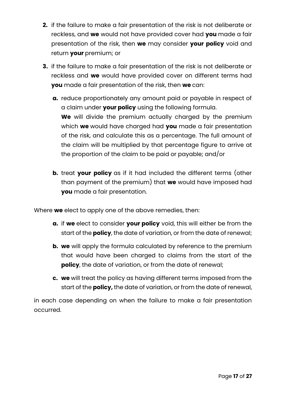- **2.** if the failure to make a fair presentation of the risk is not deliberate or reckless, and **we** would not have provided cover had **you** made a fair presentation of the risk, then **we** may consider **your policy** void and return **your** premium; or
- **3.** if the failure to make a fair presentation of the risk is not deliberate or reckless and **we** would have provided cover on different terms had **you** made a fair presentation of the risk, then **we** can:
	- **a.** reduce proportionately any amount paid or payable in respect of a claim under **your policy** using the following formula. **We** will divide the premium actually charged by the premium which **we** would have charged had **you** made a fair presentation of the risk, and calculate this as a percentage. The full amount of the claim will be multiplied by that percentage figure to arrive at the proportion of the claim to be paid or payable; and/or
	- **b.** treat **your policy** as if it had included the different terms (other than payment of the premium) that **we** would have imposed had **you** made a fair presentation.

Where **we** elect to apply one of the above remedies, then:

- **a.** if **we** elect to consider **your policy** void, this will either be from the start of the **policy**, the date of variation, or from the date of renewal;
- **b. we** will apply the formula calculated by reference to the premium that would have been charged to claims from the start of the **policy**, the date of variation, or from the date of renewal;
- **c. we** will treat the policy as having different terms imposed from the start of the **policy,** the date of variation, or from the date of renewal,

in each case depending on when the failure to make a fair presentation occurred.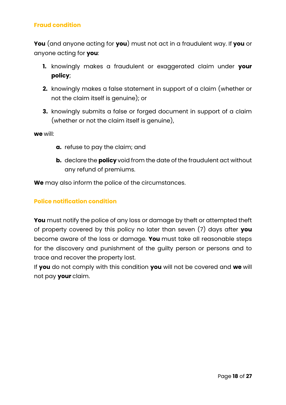### **Fraud condition**

**You** (and anyone acting for **you**) must not act in a fraudulent way. If **you** or anyone acting for **you**:

- **1.** knowingly makes a fraudulent or exaggerated claim under **your policy**;
- **2.** knowingly makes a false statement in support of a claim (whether or not the claim itself is genuine); or
- **3.** knowingly submits a false or forged document in support of a claim (whether or not the claim itself is genuine),

**we** will:

- **a.** refuse to pay the claim; and
- **b.** declare the **policy** void from the date of the fraudulent act without any refund of premiums.

**We** may also inform the police of the circumstances.

#### **Police notification condition**

**You** must notify the police of any loss or damage by theft or attempted theft of property covered by this policy no later than seven (7) days after **you** become aware of the loss or damage. **You** must take all reasonable steps for the discovery and punishment of the guilty person or persons and to trace and recover the property lost.

If **you** do not comply with this condition **you** will not be covered and **we** will not pay **your** claim.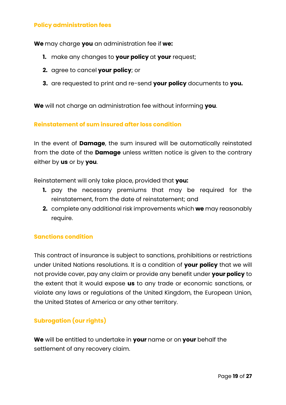#### **Policy administration fees**

**We** may charge **you** an administration fee if **we:**

- **1.** make any changes to **your policy** at **your** request;
- **2.** agree to cancel **your policy**; or
- **3.** are requested to print and re-send **your policy** documents to **you.**

**We** will not charge an administration fee without informing **you**.

#### **Reinstatement of sum insured after loss condition**

In the event of **Damage**, the sum insured will be automatically reinstated from the date of the **Damage** unless written notice is given to the contrary either by **us** or by **you**.

Reinstatement will only take place, provided that **you:**

- **1.** pay the necessary premiums that may be required for the reinstatement, from the date of reinstatement; and
- **2.** complete any additional risk improvements which **we** may reasonably require.

#### **Sanctions condition**

This contract of insurance is subject to sanctions, prohibitions or restrictions under United Nations resolutions. It is a condition of **your policy** that we will not provide cover, pay any claim or provide any benefit under **your policy** to the extent that it would expose **us** to any trade or economic sanctions, or violate any laws or regulations of the United Kingdom, the European Union, the United States of America or any other territory.

### **Subrogation (our rights)**

**We** will be entitled to undertake in **your** name or on **your** behalf the settlement of any recovery claim.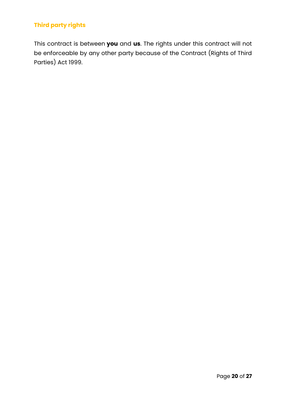## **Third party rights**

This contract is between **you** and **us**. The rights under this contract will not be enforceable by any other party because of the Contract (Rights of Third Parties) Act 1999.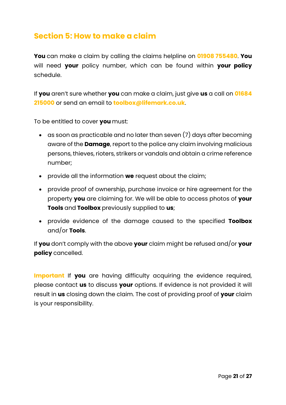## **Section 5: How to make a claim**

**You** can make a claim by calling the claims helpline on **01908 755480**. **You** will need **your** policy number, which can be found within **your policy**  schedule.

If **you** aren't sure whether **you** can make a claim, just give **us** a call on **01684 215000** or send an email to **toolbox@lifemark.co.uk**.

To be entitled to cover **you** must:

- as soon as practicable and no later than seven (7) days after becoming aware of the **Damage**, report to the police any claim involving malicious persons, thieves, rioters, strikers or vandals and obtain a crime reference number;
- provide all the information **we** request about the claim;
- provide proof of ownership, purchase invoice or hire agreement for the property **you** are claiming for. We will be able to access photos of **your Tools** and **Toolbox** previously supplied to **us**;
- provide evidence of the damage caused to the specified **Toolbox** and/or **Tools**.

If **you** don't comply with the above **your** claim might be refused and/or **your policy** cancelled.

**Important** If you are having difficulty acquiring the evidence required, please contact **us** to discuss **your** options. If evidence is not provided it will result in **us** closing down the claim. The cost of providing proof of **your** claim is your responsibility.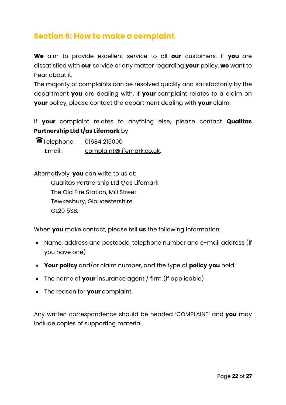## **Section 6: How to make a complaint**

**We** aim to provide excellent service to all **our** customers. If **you** are dissatisfied with **our** service or any matter regarding **your** policy, **we** want to hear about it.

The majority of complaints can be resolved quickly and satisfactorily by the department **you** are dealing with. If **your** complaint relates to a claim on **your** policy, please contact the department dealing with **your** claim.

If **your** complaint relates to anything else, please contact **Qualitas Partnership Ltd t/as Lifemark** by

| Telephone: | 01684 215000              |
|------------|---------------------------|
| Email:     | complaint@lifemark.co.uk. |

Alternatively, **you** can write to us at:

Qualitas Partnership Ltd t/as Lifemark The Old Fire Station, Mill Street Tewkesbury, Gloucestershire GL20 5SB.

When **you** make contact, please tell **us** the following information:

- Name, address and postcode, telephone number and e-mail address (if you have one)
- **Your policy** and/or claim number, and the type of **policy you** hold
- The name of **your** insurance agent / firm (if applicable)
- The reason for **your** complaint.

Any written correspondence should be headed 'COMPLAINT' and **you** may include copies of supporting material.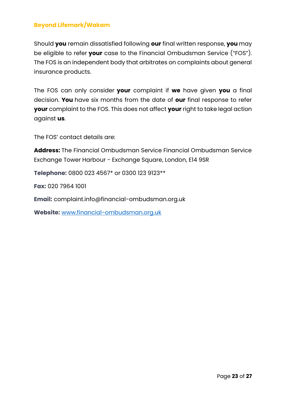### **Beyond Lifemark/Wakam**

Should **you** remain dissatisfied following **our** final written response, **you** may be eligible to refer **your** case to the Financial Ombudsman Service ("FOS"). The FOS is an independent body that arbitrates on complaints about general insurance products.

The FOS can only consider **your** complaint if **we** have given **you** a final decision. **You** have six months from the date of **our** final response to refer **your** complaint to the FOS. This does not affect **your** right to take legal action against **us**.

The FOS' contact details are:

**Address:** The Financial Ombudsman Service Financial Ombudsman Service Exchange Tower Harbour - Exchange Square, London, E14 9SR

**Telephone:** 0800 023 4567\* or 0300 123 9123\*\*

**Fax:** 020 7964 1001

**Email:** complaint.info@financial-ombudsman.org.uk

**Website:** [www.financial-ombudsman.org.uk](http://www.financial-ombudsman.org.uk/)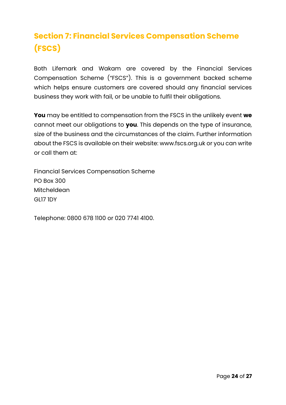# **Section 7: Financial Services Compensation Scheme (FSCS)**

Both Lifemark and Wakam are covered by the Financial Services Compensation Scheme ("FSCS"). This is a government backed scheme which helps ensure customers are covered should any financial services business they work with fail, or be unable to fulfil their obligations.

**You** may be entitled to compensation from the FSCS in the unlikely event **we** cannot meet our obligations to **you**. This depends on the type of insurance, size of the business and the circumstances of the claim. Further information about the FSCS is available on their website: [www.fscs.org.uk](http://www.fscs.org.uk/) or you can write or call them at:

Financial Services Compensation Scheme PO Box 300 **Mitcheldean** GL17 1DY

Telephone: 0800 678 1100 or 020 7741 4100.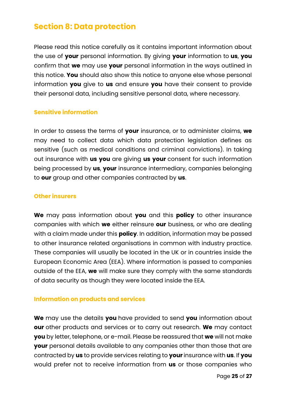## **Section 8: Data protection**

Please read this notice carefully as it contains important information about the use of **your** personal information. By giving **your** information to **us**, **you** confirm that **we** may use **your** personal information in the ways outlined in this notice. **You** should also show this notice to anyone else whose personal information **you** give to **us** and ensure **you** have their consent to provide their personal data, including sensitive personal data, where necessary.

#### **Sensitive information**

In order to assess the terms of **your** insurance, or to administer claims, **we**  may need to collect data which data protection legislation defines as sensitive (such as medical conditions and criminal convictions). In taking out insurance with **us you** are giving **us your** consent for such information being processed by **us**, **your** insurance intermediary, companies belonging to **our** group and other companies contracted by **us**.

#### **Other insurers**

**We** may pass information about **you** and this **policy** to other insurance companies with which **we** either reinsure **our** business, or who are dealing with a claim made under this **policy**. In addition, information may be passed to other insurance related organisations in common with industry practice. These companies will usually be located in the UK or in countries inside the European Economic Area (EEA). Where information is passed to companies outside of the EEA, **we** will make sure they comply with the same standards of data security as though they were located inside the EEA.

#### **Information on products and services**

**We** may use the details **you** have provided to send **you** information about **our** other products and services or to carry out research. **We** may contact **you** by letter, telephone, or e-mail. Please be reassured that **we** will not make **your** personal details available to any companies other than those that are contracted by **us** to provide services relating to **your** insurance with **us**. If **you** would prefer not to receive information from **us** or those companies who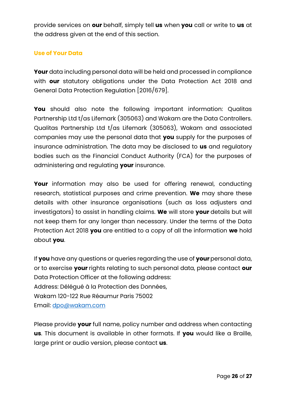provide services on **our** behalf, simply tell **us** when **you** call or write to **us** at the address given at the end of this section.

### **Use of Your Data**

**Your** data including personal data will be held and processed in compliance with **our** statutory obligations under the Data Protection Act 2018 and General Data Protection Regulation [2016/679].

**You** should also note the following important information: Qualitas Partnership Ltd t/as Lifemark (305063) and Wakam are the Data Controllers. Qualitas Partnership Ltd t/as Lifemark (305063), Wakam and associated companies may use the personal data that **you** supply for the purposes of insurance administration. The data may be disclosed to **us** and regulatory bodies such as the Financial Conduct Authority (FCA) for the purposes of administering and regulating **your** insurance.

**Your** information may also be used for offering renewal, conducting research, statistical purposes and crime prevention. **We** may share these details with other insurance organisations (such as loss adjusters and investigators) to assist in handling claims. **We** will store **your** details but will not keep them for any longer than necessary. Under the terms of the Data Protection Act 2018 **you** are entitled to a copy of all the information **we** hold about **you**.

If **you** have any questions or queries regarding the use of **your** personal data, or to exercise **your** rights relating to such personal data, please contact **our** Data Protection Officer at the following address: Address: Délégué à la Protection des Données, Wakam 120-122 Rue Réaumur Paris 75002 Email: [dpo@wakam.com](mailto:dpo@wakam.com)

Please provide **your** full name, policy number and address when contacting **us**. This document is available in other formats. If **you** would like a Braille, large print or audio version, please contact **us**.